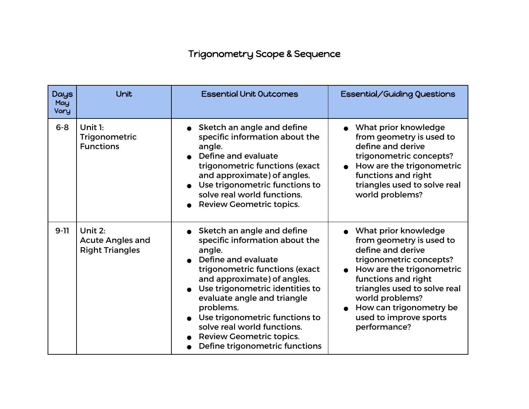## Trigonometry Scope & Sequence

| <b>Days</b><br>May<br>Vary | Unit                                                         | <b>Essential Unit Outcomes</b>                                                                                                                                                                                                                                                                                                                                               | Essential/Guiding Questions                                                                                                                                                                                                                                                  |
|----------------------------|--------------------------------------------------------------|------------------------------------------------------------------------------------------------------------------------------------------------------------------------------------------------------------------------------------------------------------------------------------------------------------------------------------------------------------------------------|------------------------------------------------------------------------------------------------------------------------------------------------------------------------------------------------------------------------------------------------------------------------------|
| $6 - 8$                    | Unit $1:$<br>Trigonometric<br><b>Functions</b>               | Sketch an angle and define<br>specific information about the<br>angle.<br>Define and evaluate<br>trigonometric functions (exact<br>and approximate) of angles.<br>Use trigonometric functions to<br>solve real world functions.<br><b>Review Geometric topics.</b>                                                                                                           | What prior knowledge<br>from geometry is used to<br>define and derive<br>trigonometric concepts?<br>How are the trigonometric<br>functions and right<br>triangles used to solve real<br>world problems?                                                                      |
| $9-11$                     | Unit 2:<br><b>Acute Angles and</b><br><b>Right Triangles</b> | Sketch an angle and define<br>specific information about the<br>angle.<br>Define and evaluate<br>trigonometric functions (exact<br>and approximate) of angles.<br>Use trigonometric identities to<br>evaluate angle and triangle<br>problems.<br>Use trigonometric functions to<br>solve real world functions.<br>Review Geometric topics.<br>Define trigonometric functions | What prior knowledge<br>from geometry is used to<br>define and derive<br>trigonometric concepts?<br>How are the trigonometric<br>functions and right<br>triangles used to solve real<br>world problems?<br>How can trigonometry be<br>used to improve sports<br>performance? |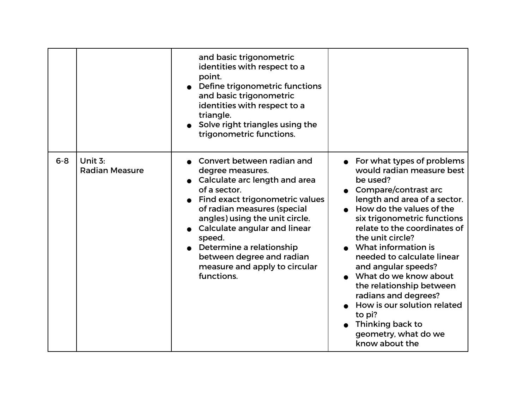|         |                                  | and basic trigonometric<br>identities with respect to a<br>point.<br>Define trigonometric functions<br>and basic trigonometric<br>identities with respect to a<br>triangle.<br>Solve right triangles using the<br>trigonometric functions.                                                                                                              |                                                                                                                                                                                                                                                                                                                                                                                                                                                                                                              |
|---------|----------------------------------|---------------------------------------------------------------------------------------------------------------------------------------------------------------------------------------------------------------------------------------------------------------------------------------------------------------------------------------------------------|--------------------------------------------------------------------------------------------------------------------------------------------------------------------------------------------------------------------------------------------------------------------------------------------------------------------------------------------------------------------------------------------------------------------------------------------------------------------------------------------------------------|
| $6 - 8$ | Unit 3:<br><b>Radian Measure</b> | Convert between radian and<br>degree measures.<br>• Calculate arc length and area<br>of a sector.<br>Find exact trigonometric values<br>of radian measures (special<br>angles) using the unit circle.<br>Calculate angular and linear<br>speed.<br>Determine a relationship<br>between degree and radian<br>measure and apply to circular<br>functions. | For what types of problems<br>would radian measure best<br>be used?<br>• Compare/contrast arc<br>length and area of a sector.<br>How do the values of the<br>six trigonometric functions<br>relate to the coordinates of<br>the unit circle?<br>What information is<br>needed to calculate linear<br>and angular speeds?<br>What do we know about<br>the relationship between<br>radians and degrees?<br>How is our solution related<br>to pi?<br>Thinking back to<br>geometry, what do we<br>know about the |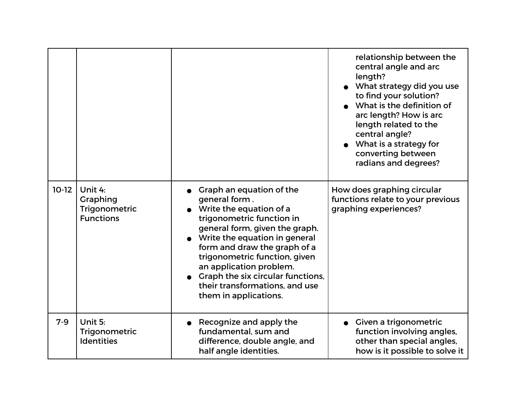|         |                                                                 |                                                                                                                                                                                                                                                                                                                                                                  | relationship between the<br>central angle and arc<br>length?<br>What strategy did you use<br>to find your solution?<br>What is the definition of<br>arc length? How is arc<br>length related to the<br>central angle?<br>What is a strategy for<br>converting between<br>radians and degrees? |
|---------|-----------------------------------------------------------------|------------------------------------------------------------------------------------------------------------------------------------------------------------------------------------------------------------------------------------------------------------------------------------------------------------------------------------------------------------------|-----------------------------------------------------------------------------------------------------------------------------------------------------------------------------------------------------------------------------------------------------------------------------------------------|
| $10-12$ | Unit 4:<br><b>Graphing</b><br>Trigonometric<br><b>Functions</b> | Graph an equation of the<br>general form.<br>Write the equation of a<br>trigonometric function in<br>general form, given the graph.<br>Write the equation in general<br>form and draw the graph of a<br>trigonometric function, given<br>an application problem.<br>Graph the six circular functions,<br>their transformations, and use<br>them in applications. | How does graphing circular<br>functions relate to your previous<br>graphing experiences?                                                                                                                                                                                                      |
| $7-9$   | Unit 5:<br>Trigonometric<br><b>Identities</b>                   | Recognize and apply the<br>fundamental, sum and<br>difference, double angle, and<br>half angle identities.                                                                                                                                                                                                                                                       | Given a trigonometric<br>function involving angles,<br>other than special angles,<br>how is it possible to solve it                                                                                                                                                                           |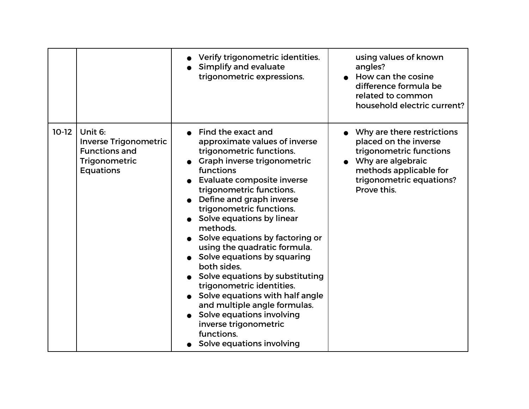|         |                                                                                                      | Verify trigonometric identities.<br>Simplify and evaluate<br>trigonometric expressions.                                                                                                                                                                                                                                                                                                                                                                                                                                                                                                                                                     | using values of known<br>angles?<br>How can the cosine<br>difference formula be<br>related to common<br>household electric current?                                      |
|---------|------------------------------------------------------------------------------------------------------|---------------------------------------------------------------------------------------------------------------------------------------------------------------------------------------------------------------------------------------------------------------------------------------------------------------------------------------------------------------------------------------------------------------------------------------------------------------------------------------------------------------------------------------------------------------------------------------------------------------------------------------------|--------------------------------------------------------------------------------------------------------------------------------------------------------------------------|
| $10-12$ | Unit 6:<br><b>Inverse Trigonometric</b><br><b>Functions and</b><br>Trigonometric<br><b>Equations</b> | Find the exact and<br>approximate values of inverse<br>trigonometric functions.<br>Graph inverse trigonometric<br>functions<br>Evaluate composite inverse<br>trigonometric functions.<br>Define and graph inverse<br>trigonometric functions.<br>Solve equations by linear<br>methods.<br>Solve equations by factoring or<br>using the quadratic formula.<br>Solve equations by squaring<br>both sides.<br>Solve equations by substituting<br>trigonometric identities.<br>Solve equations with half angle<br>and multiple angle formulas.<br>Solve equations involving<br>inverse trigonometric<br>functions.<br>Solve equations involving | Why are there restrictions<br>placed on the inverse<br>trigonometric functions<br>Why are algebraic<br>methods applicable for<br>trigonometric equations?<br>Prove this. |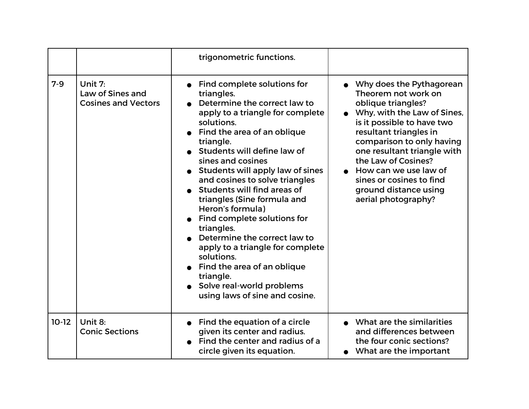|         |                                                           | trigonometric functions.                                                                                                                                                                                                                                                                                                                                                                                                                                                                                                                                                                                                      |                                                                                                                                                                                                                                                                                                                                                      |
|---------|-----------------------------------------------------------|-------------------------------------------------------------------------------------------------------------------------------------------------------------------------------------------------------------------------------------------------------------------------------------------------------------------------------------------------------------------------------------------------------------------------------------------------------------------------------------------------------------------------------------------------------------------------------------------------------------------------------|------------------------------------------------------------------------------------------------------------------------------------------------------------------------------------------------------------------------------------------------------------------------------------------------------------------------------------------------------|
| $7-9$   | Unit 7:<br>Law of Sines and<br><b>Cosines and Vectors</b> | Find complete solutions for<br>triangles.<br>Determine the correct law to<br>apply to a triangle for complete<br>solutions.<br>Find the area of an oblique<br>triangle.<br>Students will define law of<br>sines and cosines<br>Students will apply law of sines<br>and cosines to solve triangles<br>Students will find areas of<br>triangles (Sine formula and<br>Heron's formula)<br>Find complete solutions for<br>triangles.<br>Determine the correct law to<br>apply to a triangle for complete<br>solutions.<br>Find the area of an oblique<br>triangle.<br>Solve real-world problems<br>using laws of sine and cosine. | Why does the Pythagorean<br>Theorem not work on<br>oblique triangles?<br>Why, with the Law of Sines,<br>is it possible to have two<br>resultant triangles in<br>comparison to only having<br>one resultant triangle with<br>the Law of Cosines?<br>How can we use law of<br>sines or cosines to find<br>ground distance using<br>aerial photography? |
| $10-12$ | Unit 8:<br><b>Conic Sections</b>                          | Find the equation of a circle<br>given its center and radius.<br>Find the center and radius of a<br>circle given its equation.                                                                                                                                                                                                                                                                                                                                                                                                                                                                                                | What are the similarities<br>and differences between<br>the four conic sections?<br>What are the important                                                                                                                                                                                                                                           |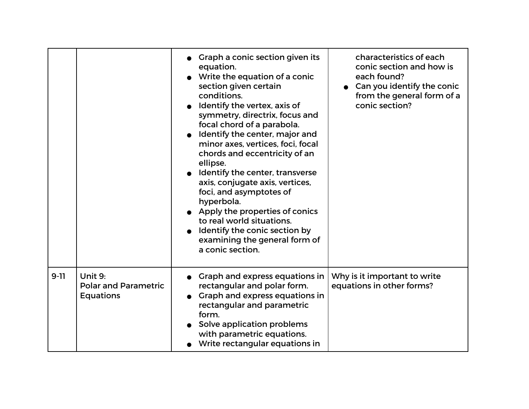|          |                                                            | Graph a conic section given its<br>equation.<br>Write the equation of a conic<br>section given certain<br>conditions.<br>Identify the vertex, axis of<br>symmetry, directrix, focus and<br>focal chord of a parabola.<br>Identify the center, major and<br>minor axes, vertices, foci, focal<br>chords and eccentricity of an<br>ellipse.<br>Identify the center, transverse<br>axis, conjugate axis, vertices,<br>foci, and asymptotes of<br>hyperbola.<br>• Apply the properties of conics<br>to real world situations.<br>Identify the conic section by<br>examining the general form of<br>a conic section. | characteristics of each<br>conic section and how is<br>each found?<br>Can you identify the conic<br>from the general form of a<br>conic section? |
|----------|------------------------------------------------------------|-----------------------------------------------------------------------------------------------------------------------------------------------------------------------------------------------------------------------------------------------------------------------------------------------------------------------------------------------------------------------------------------------------------------------------------------------------------------------------------------------------------------------------------------------------------------------------------------------------------------|--------------------------------------------------------------------------------------------------------------------------------------------------|
| $9 - 11$ | Unit 9:<br><b>Polar and Parametric</b><br><b>Equations</b> | Graph and express equations in<br>rectangular and polar form.<br>Graph and express equations in<br>rectangular and parametric<br>form.<br>Solve application problems<br>with parametric equations.<br>Write rectangular equations in                                                                                                                                                                                                                                                                                                                                                                            | Why is it important to write<br>equations in other forms?                                                                                        |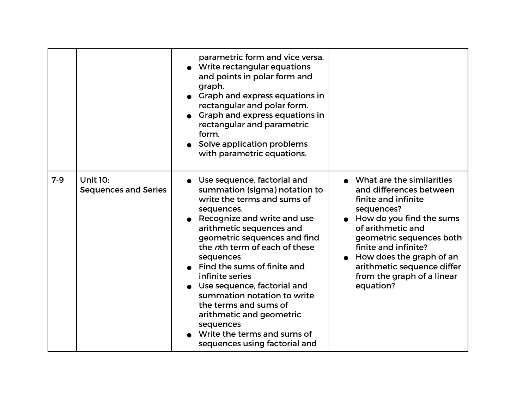|         |                                                | parametric form and vice versa.<br>Write rectangular equations<br>and points in polar form and<br>graph.<br>Graph and express equations in<br>rectangular and polar form.<br>Graph and express equations in<br>rectangular and parametric<br>form.<br>Solve application problems<br>with parametric equations.                                                                                                                                                                                       |                                                                                                                                                                                                                                                                                                       |
|---------|------------------------------------------------|------------------------------------------------------------------------------------------------------------------------------------------------------------------------------------------------------------------------------------------------------------------------------------------------------------------------------------------------------------------------------------------------------------------------------------------------------------------------------------------------------|-------------------------------------------------------------------------------------------------------------------------------------------------------------------------------------------------------------------------------------------------------------------------------------------------------|
| $7 - 9$ | <b>Unit 10:</b><br><b>Sequences and Series</b> | Use sequence, factorial and<br>summation (sigma) notation to<br>write the terms and sums of<br>sequences.<br>Recognize and write and use<br>arithmetic sequences and<br>geometric sequences and find<br>the nth term of each of these<br>sequences<br>Find the sums of finite and<br>infinite series<br>Use sequence, factorial and<br>summation notation to write<br>the terms and sums of<br>arithmetic and geometric<br>sequences<br>Write the terms and sums of<br>sequences using factorial and | • What are the similarities<br>and differences between<br>finite and infinite<br>sequences?<br>How do you find the sums<br>of arithmetic and<br>geometric sequences both<br>finite and infinite?<br>How does the graph of an<br>arithmetic sequence differ<br>from the graph of a linear<br>equation? |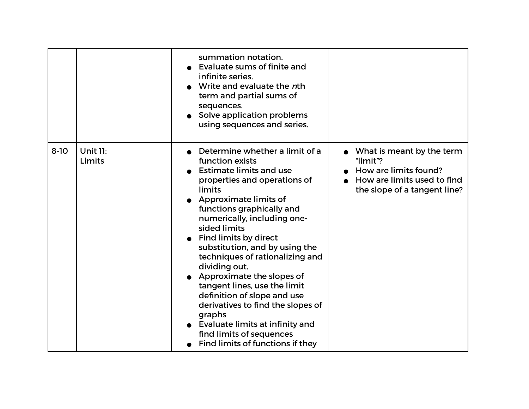|          |                           | summation notation.<br>Evaluate sums of finite and<br>infinite series.<br>Write and evaluate the nth<br>term and partial sums of<br>sequences.<br>• Solve application problems<br>using sequences and series.                                                                                                                                                                                                                                                                                                                                                                                          |                                                                                                                                           |
|----------|---------------------------|--------------------------------------------------------------------------------------------------------------------------------------------------------------------------------------------------------------------------------------------------------------------------------------------------------------------------------------------------------------------------------------------------------------------------------------------------------------------------------------------------------------------------------------------------------------------------------------------------------|-------------------------------------------------------------------------------------------------------------------------------------------|
| $8 - 10$ | <b>Unit 11:</b><br>Limits | Determine whether a limit of a<br>function exists<br><b>Estimate limits and use</b><br>properties and operations of<br>limits<br>Approximate limits of<br>functions graphically and<br>numerically, including one-<br>sided limits<br><b>Find limits by direct</b><br>substitution, and by using the<br>techniques of rationalizing and<br>dividing out.<br>Approximate the slopes of<br>tangent lines, use the limit<br>definition of slope and use<br>derivatives to find the slopes of<br>graphs<br>Evaluate limits at infinity and<br>find limits of sequences<br>Find limits of functions if they | $\bullet$ What is meant by the term<br>"limit"?<br>How are limits found?<br>• How are limits used to find<br>the slope of a tangent line? |